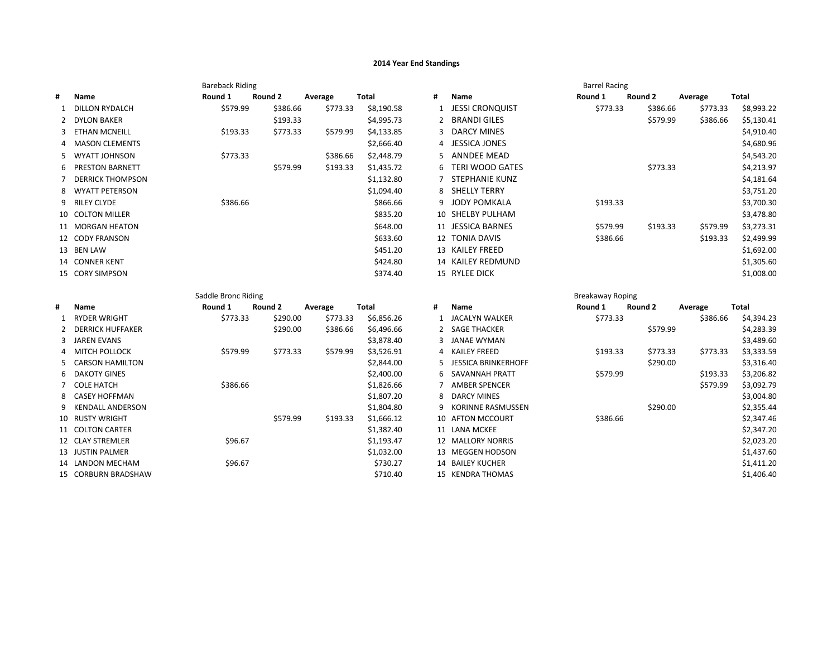## **2014 Year End Standings**

|    |                                      | <b>Bareback Riding</b> |          |          |                          |    |                                    | <b>Barrel Racing</b>    |          |          |                          |
|----|--------------------------------------|------------------------|----------|----------|--------------------------|----|------------------------------------|-------------------------|----------|----------|--------------------------|
| #  | Name                                 | Round 1                | Round 2  | Average  | <b>Total</b>             | #  | Name                               | Round 1                 | Round 2  | Average  | <b>Total</b>             |
|    | <b>DILLON RYDALCH</b>                | \$579.99               | \$386.66 | \$773.33 | \$8,190.58               |    | <b>JESSI CRONQUIST</b>             | \$773.33                | \$386.66 | \$773.33 | \$8,993.22               |
| 2  | <b>DYLON BAKER</b>                   |                        | \$193.33 |          | \$4,995.73               |    | <b>BRANDI GILES</b>                |                         | \$579.99 | \$386.66 | \$5,130.41               |
| 3  | <b>ETHAN MCNEILL</b>                 | \$193.33               | \$773.33 | \$579.99 | \$4,133.85               |    | <b>DARCY MINES</b>                 |                         |          |          | \$4,910.40               |
| 4  | <b>MASON CLEMENTS</b>                |                        |          |          | \$2,666.40               | 4  | <b>JESSICA JONES</b>               |                         |          |          | \$4,680.96               |
| 5. | <b>WYATT JOHNSON</b>                 | \$773.33               |          | \$386.66 | \$2,448.79               |    | <b>ANNDEE MEAD</b>                 |                         |          |          | \$4,543.20               |
| 6  | <b>PRESTON BARNETT</b>               |                        | \$579.99 | \$193.33 | \$1,435.72               | 6  | <b>TERI WOOD GATES</b>             |                         | \$773.33 |          | \$4,213.97               |
|    | <b>DERRICK THOMPSON</b>              |                        |          |          | \$1,132.80               |    | <b>STEPHANIE KUNZ</b>              |                         |          |          | \$4,181.64               |
| 8  | <b>WYATT PETERSON</b>                |                        |          |          | \$1,094.40               | 8  | SHELLY TERRY                       |                         |          |          | \$3,751.20               |
| 9  | <b>RILEY CLYDE</b>                   | \$386.66               |          |          | \$866.66                 | 9  | <b>JODY POMKALA</b>                | \$193.33                |          |          | \$3,700.30               |
|    | 10 COLTON MILLER                     |                        |          |          | \$835.20                 |    | 10 SHELBY PULHAM                   |                         |          |          | \$3,478.80               |
|    | 11 MORGAN HEATON                     |                        |          |          | \$648.00                 |    | 11 JESSICA BARNES                  | \$579.99                | \$193.33 | \$579.99 | \$3,273.31               |
|    | 12 CODY FRANSON                      |                        |          |          | \$633.60                 |    | 12 TONIA DAVIS                     | \$386.66                |          | \$193.33 | \$2,499.99               |
|    | 13 BEN LAW                           |                        |          |          | \$451.20                 |    | 13 KAILEY FREED                    |                         |          |          | \$1,692.00               |
|    | 14 CONNER KENT                       |                        |          |          | \$424.80                 |    | 14 KAILEY REDMUND                  |                         |          |          | \$1,305.60               |
|    | 15 CORY SIMPSON                      |                        |          |          | \$374.40                 |    | 15 RYLEE DICK                      |                         |          |          | \$1,008.00               |
|    |                                      |                        |          |          |                          |    |                                    |                         |          |          |                          |
|    |                                      |                        |          |          |                          |    |                                    |                         |          |          |                          |
|    |                                      | Saddle Bronc Riding    |          |          |                          |    |                                    | <b>Breakaway Roping</b> |          |          |                          |
| Ħ  | Name                                 | Round 1                | Round 2  | Average  | <b>Total</b>             | Ħ  | Name                               | Round 1                 | Round 2  | Average  | Total                    |
| -1 | <b>RYDER WRIGHT</b>                  | \$773.33               | \$290.00 | \$773.33 | \$6,856.26               |    | <b>JACALYN WALKER</b>              | \$773.33                |          | \$386.66 | \$4,394.23               |
| 2  | <b>DERRICK HUFFAKER</b>              |                        | \$290.00 | \$386.66 | \$6,496.66               |    | <b>SAGE THACKER</b>                |                         | \$579.99 |          | \$4,283.39               |
| 3  | <b>JAREN EVANS</b>                   |                        |          |          | \$3,878.40               |    | <b>JANAE WYMAN</b>                 |                         |          |          | \$3,489.60               |
|    | <b>MITCH POLLOCK</b>                 | \$579.99               | \$773.33 | \$579.99 | \$3,526.91               | Δ  | <b>KAILEY FREED</b>                | \$193.33                | \$773.33 | \$773.33 | \$3,333.59               |
| 5  | <b>CARSON HAMILTON</b>               |                        |          |          | \$2,844.00               |    | <b>JESSICA BRINKERHOFF</b>         |                         | \$290.00 |          | \$3,316.40               |
| 6  | <b>DAKOTY GINES</b>                  |                        |          |          | \$2,400.00               |    | <b>SAVANNAH PRATT</b>              | \$579.99                |          | \$193.33 | \$3,206.82               |
| 7  | <b>COLE HATCH</b>                    | \$386.66               |          |          | \$1,826.66               |    | <b>AMBER SPENCER</b>               |                         |          | \$579.99 | \$3,092.79               |
|    | <b>CASEY HOFFMAN</b>                 |                        |          |          | \$1,807.20               |    | <b>DARCY MINES</b>                 |                         |          |          | \$3,004.80               |
| 9  | <b>KENDALL ANDERSON</b>              |                        |          |          | \$1,804.80               | q  | <b>KORINNE RASMUSSEN</b>           |                         | \$290.00 |          | \$2,355.44               |
|    | 10 RUSTY WRIGHT                      |                        | \$579.99 | \$193.33 | \$1,666.12               |    | 10 AFTON MCCOURT                   | \$386.66                |          |          | \$2,347.46               |
|    | 11 COLTON CARTER<br>12 CLAY STREMLER |                        |          |          | \$1,382.40               |    | 11 LANA MCKEE<br>12 MALLORY NORRIS |                         |          |          | \$2,347.20               |
|    | 13 JUSTIN PALMER                     | \$96.67                |          |          | \$1,193.47<br>\$1,032.00 | 13 | <b>MEGGEN HODSON</b>               |                         |          |          | \$2,023.20<br>\$1,437.60 |
| 14 | LANDON MECHAM                        | \$96.67                |          |          | \$730.27                 | 14 | <b>BAILEY KUCHER</b>               |                         |          |          | \$1,411.20               |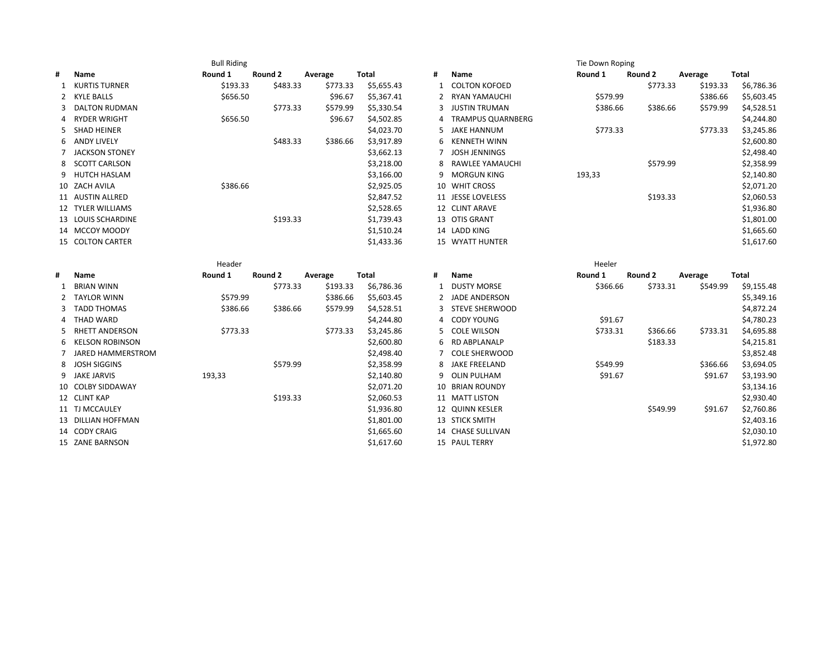|   |                        | <b>Bull Riding</b> |          |          |              |    |                          | Tie Down Roping |          |          |                          |
|---|------------------------|--------------------|----------|----------|--------------|----|--------------------------|-----------------|----------|----------|--------------------------|
| # | Name                   | Round 1            | Round 2  | Average  | <b>Total</b> | #  | Name                     | Round 1         | Round 2  | Average  | <b>Total</b>             |
|   | <b>KURTIS TURNER</b>   | \$193.33           | \$483.33 | \$773.33 | \$5,655.43   |    | <b>COLTON KOFOED</b>     |                 | \$773.33 | \$193.33 | \$6,786.36               |
| 2 | <b>KYLE BALLS</b>      | \$656.50           |          | \$96.67  | \$5,367.41   |    | <b>RYAN YAMAUCHI</b>     | \$579.99        |          | \$386.66 | \$5,603.45               |
| 3 | <b>DALTON RUDMAN</b>   |                    | \$773.33 | \$579.99 | \$5,330.54   | 3  | <b>JUSTIN TRUMAN</b>     | \$386.66        | \$386.66 | \$579.99 | \$4,528.51               |
| 4 | <b>RYDER WRIGHT</b>    | \$656.50           |          | \$96.67  | \$4,502.85   |    | <b>TRAMPUS QUARNBERG</b> |                 |          |          | \$4,244.80               |
| 5 | <b>SHAD HEINER</b>     |                    |          |          | \$4,023.70   |    | <b>JAKE HANNUM</b>       | \$773.33        |          | \$773.33 | \$3,245.86               |
| 6 | <b>ANDY LIVELY</b>     |                    | \$483.33 | \$386.66 | \$3,917.89   | 6  | <b>KENNETH WINN</b>      |                 |          |          | \$2,600.80               |
| 7 | <b>JACKSON STONEY</b>  |                    |          |          | \$3,662.13   |    | <b>JOSH JENNINGS</b>     |                 |          |          | \$2,498.40               |
| 8 | <b>SCOTT CARLSON</b>   |                    |          |          | \$3,218.00   |    | <b>RAWLEE YAMAUCHI</b>   |                 | \$579.99 |          | \$2,358.99               |
| 9 | <b>HUTCH HASLAM</b>    |                    |          |          | \$3,166.00   |    | <b>MORGUN KING</b>       | 193,33          |          |          | \$2,140.80               |
|   | 10 ZACH AVILA          | \$386.66           |          |          | \$2,925.05   |    | 10 WHIT CROSS            |                 |          |          | \$2,071.20               |
|   | 11 AUSTIN ALLRED       |                    |          |          | \$2,847.52   |    | 11 JESSE LOVELESS        |                 | \$193.33 |          | \$2,060.53               |
|   | 12 TYLER WILLIAMS      |                    |          |          | \$2,528.65   |    | 12 CLINT ARAVE           |                 |          |          | \$1,936.80               |
|   | 13 LOUIS SCHARDINE     |                    | \$193.33 |          | \$1,739.43   |    | 13 OTIS GRANT            |                 |          |          | \$1,801.00               |
|   | 14 MCCOY MOODY         |                    |          |          | \$1,510.24   |    | 14 LADD KING             |                 |          |          | \$1,665.60               |
|   | 15 COLTON CARTER       |                    |          |          | \$1,433.36   |    | 15 WYATT HUNTER          |                 |          |          | \$1,617.60               |
|   |                        |                    |          |          |              |    |                          |                 |          |          |                          |
|   |                        | Header             |          |          |              |    |                          | Heeler          |          |          |                          |
| # | Name                   | Round 1            | Round 2  | Average  | <b>Total</b> | #  | Name                     | Round 1         | Round 2  | Average  | Total                    |
|   | <b>BRIAN WINN</b>      |                    | \$773.33 | \$193.33 | \$6,786.36   |    | <b>DUSTY MORSE</b>       | \$366.66        | \$733.31 | \$549.99 |                          |
| 2 | <b>TAYLOR WINN</b>     | \$579.99           |          | \$386.66 | \$5,603.45   |    | <b>JADE ANDERSON</b>     |                 |          |          | \$9,155.48<br>\$5,349.16 |
| 3 | <b>TADD THOMAS</b>     | \$386.66           | \$386.66 | \$579.99 | \$4,528.51   |    | <b>STEVE SHERWOOD</b>    |                 |          |          | \$4,872.24               |
| 4 | <b>THAD WARD</b>       |                    |          |          | \$4,244.80   | 4  | <b>CODY YOUNG</b>        | \$91.67         |          |          | \$4,780.23               |
| 5 | <b>RHETT ANDERSON</b>  | \$773.33           |          | \$773.33 | \$3,245.86   |    | <b>COLE WILSON</b>       | \$733.31        | \$366.66 | \$733.31 | \$4,695.88               |
| 6 | <b>KELSON ROBINSON</b> |                    |          |          | \$2,600.80   | 6  | RD ABPLANALP             |                 | \$183.33 |          | \$4,215.81               |
| 7 | JARED HAMMERSTROM      |                    |          |          | \$2,498.40   |    | <b>COLE SHERWOOD</b>     |                 |          |          | \$3,852.48               |
| 8 | <b>JOSH SIGGINS</b>    |                    | \$579.99 |          | \$2,358.99   |    | <b>JAKE FREELAND</b>     | \$549.99        |          | \$366.66 | \$3,694.05               |
| 9 | <b>JAKE JARVIS</b>     | 193,33             |          |          | \$2,140.80   | ٩  | OLIN PULHAM              | \$91.67         |          | \$91.67  | \$3,193.90               |
|   | 10 COLBY SIDDAWAY      |                    |          |          | \$2,071.20   | 10 | <b>BRIAN ROUNDY</b>      |                 |          |          | \$3,134.16               |
|   | 12 CLINT KAP           |                    | \$193.33 |          | \$2,060.53   |    | 11 MATT LISTON           |                 |          |          | \$2,930.40               |
|   | 11 TJ MCCAULEY         |                    |          |          | \$1,936.80   |    | 12 QUINN KESLER          |                 | \$549.99 | \$91.67  | \$2,760.86               |
|   | 13 DILLIAN HOFFMAN     |                    |          |          | \$1,801.00   |    | 13 STICK SMITH           |                 |          |          | \$2,403.16               |
|   | 14 CODY CRAIG          |                    |          |          | \$1,665.60   |    | 14 CHASE SULLIVAN        |                 |          |          | \$2,030.10               |